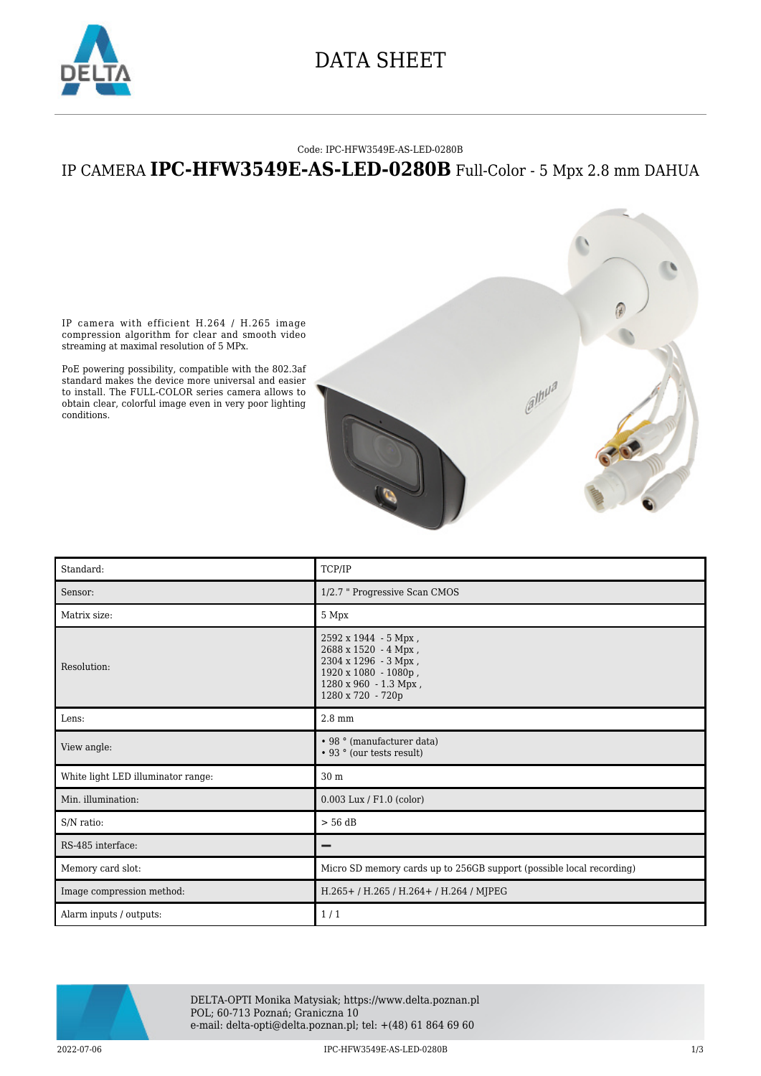

## DATA SHEET

#### Code: IPC-HFW3549E-AS-LED-0280B

### IP CAMERA **IPC-HFW3549E-AS-LED-0280B** Full-Color - 5 Mpx 2.8 mm DAHUA



IP camera with efficient H.264 / H.265 image compression algorithm for clear and smooth video streaming at maximal resolution of 5 MPx.

PoE powering possibility, compatible with the 802.3af standard makes the device more universal and easier to install. The FULL-COLOR series camera allows to obtain clear, colorful image even in very poor lighting conditions.

| Standard:                          | TCP/IP                                                                                                                                            |
|------------------------------------|---------------------------------------------------------------------------------------------------------------------------------------------------|
| Sensor:                            | 1/2.7 " Progressive Scan CMOS                                                                                                                     |
| Matrix size:                       | 5 Mpx                                                                                                                                             |
| Resolution:                        | $2592 \times 1944 - 5$ Mpx,<br>2688 x 1520 - 4 Mpx,<br>2304 х 1296 - 3 Мрх,<br>1920 x 1080 - 1080p,<br>1280 x 960 - 1.3 Mpx,<br>1280 x 720 - 720p |
| Lens:                              | $2.8 \text{ mm}$                                                                                                                                  |
| View angle:                        | • 98 ° (manufacturer data)<br>• 93 ° (our tests result)                                                                                           |
| White light LED illuminator range: | 30 m                                                                                                                                              |
| Min. illumination:                 | $0.003$ Lux / F1.0 (color)                                                                                                                        |
| S/N ratio:                         | $> 56$ dB                                                                                                                                         |
| RS-485 interface:                  |                                                                                                                                                   |
| Memory card slot:                  | Micro SD memory cards up to 256GB support (possible local recording)                                                                              |
| Image compression method:          | H.265+/H.265/H.264+/H.264/MJPEG                                                                                                                   |
| Alarm inputs / outputs:            | 1/1                                                                                                                                               |



DELTA-OPTI Monika Matysiak; https://www.delta.poznan.pl POL; 60-713 Poznań; Graniczna 10 e-mail: delta-opti@delta.poznan.pl; tel: +(48) 61 864 69 60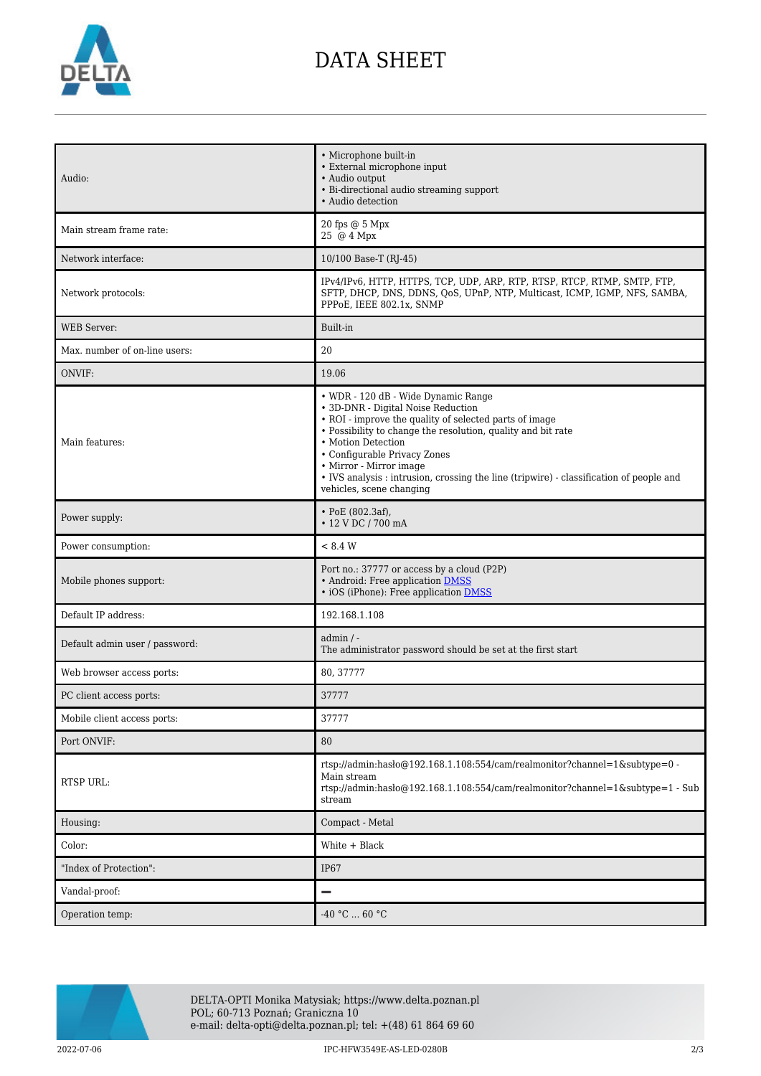

# DATA SHEET

| Audio:                         | • Microphone built-in<br>• External microphone input<br>· Audio output<br>• Bi-directional audio streaming support<br>• Audio detection                                                                                                                                                                                                                                                                     |
|--------------------------------|-------------------------------------------------------------------------------------------------------------------------------------------------------------------------------------------------------------------------------------------------------------------------------------------------------------------------------------------------------------------------------------------------------------|
| Main stream frame rate:        | 20 fps @ 5 Mpx<br>25 @ 4 Mpx                                                                                                                                                                                                                                                                                                                                                                                |
| Network interface:             | 10/100 Base-T (RJ-45)                                                                                                                                                                                                                                                                                                                                                                                       |
| Network protocols:             | IPv4/IPv6, HTTP, HTTPS, TCP, UDP, ARP, RTP, RTSP, RTCP, RTMP, SMTP, FTP,<br>SFTP, DHCP, DNS, DDNS, QoS, UPnP, NTP, Multicast, ICMP, IGMP, NFS, SAMBA,<br>PPPoE, IEEE 802.1x, SNMP                                                                                                                                                                                                                           |
| <b>WEB</b> Server:             | Built-in                                                                                                                                                                                                                                                                                                                                                                                                    |
| Max. number of on-line users:  | 20                                                                                                                                                                                                                                                                                                                                                                                                          |
| ONVIF:                         | 19.06                                                                                                                                                                                                                                                                                                                                                                                                       |
| Main features:                 | • WDR - 120 dB - Wide Dynamic Range<br>• 3D-DNR - Digital Noise Reduction<br>• ROI - improve the quality of selected parts of image<br>• Possibility to change the resolution, quality and bit rate<br>• Motion Detection<br>• Configurable Privacy Zones<br>• Mirror - Mirror image<br>• IVS analysis : intrusion, crossing the line (tripwire) - classification of people and<br>vehicles, scene changing |
| Power supply:                  | $\cdot$ PoE (802.3af),<br>• 12 V DC / 700 mA                                                                                                                                                                                                                                                                                                                                                                |
| Power consumption:             | < 8.4 W                                                                                                                                                                                                                                                                                                                                                                                                     |
| Mobile phones support:         | Port no.: 37777 or access by a cloud (P2P)<br>• Android: Free application DMSS<br>• iOS (iPhone): Free application DMSS                                                                                                                                                                                                                                                                                     |
| Default IP address:            | 192.168.1.108                                                                                                                                                                                                                                                                                                                                                                                               |
| Default admin user / password: | $admin / -$<br>The administrator password should be set at the first start                                                                                                                                                                                                                                                                                                                                  |
| Web browser access ports:      | 80, 37777                                                                                                                                                                                                                                                                                                                                                                                                   |
| PC client access ports:        | 37777                                                                                                                                                                                                                                                                                                                                                                                                       |
| Mobile client access ports:    | 37777                                                                                                                                                                                                                                                                                                                                                                                                       |
| Port ONVIF:                    | 80                                                                                                                                                                                                                                                                                                                                                                                                          |
| RTSP URL:                      | rtsp://admin:hasło@192.168.1.108:554/cam/realmonitor?channel=1&subtype=0 -<br>Main stream<br>rtsp://admin:haslo $@192.168.1.108.554/cam/realmonitor?channel=1$ &subtype=1 - Sub<br>stream                                                                                                                                                                                                                   |
| Housing:                       | Compact - Metal                                                                                                                                                                                                                                                                                                                                                                                             |
| Color:                         | White + Black                                                                                                                                                                                                                                                                                                                                                                                               |
| "Index of Protection":         | IP67                                                                                                                                                                                                                                                                                                                                                                                                        |
| Vandal-proof:                  |                                                                                                                                                                                                                                                                                                                                                                                                             |
| Operation temp:                | $-40 °C  60 °C$                                                                                                                                                                                                                                                                                                                                                                                             |